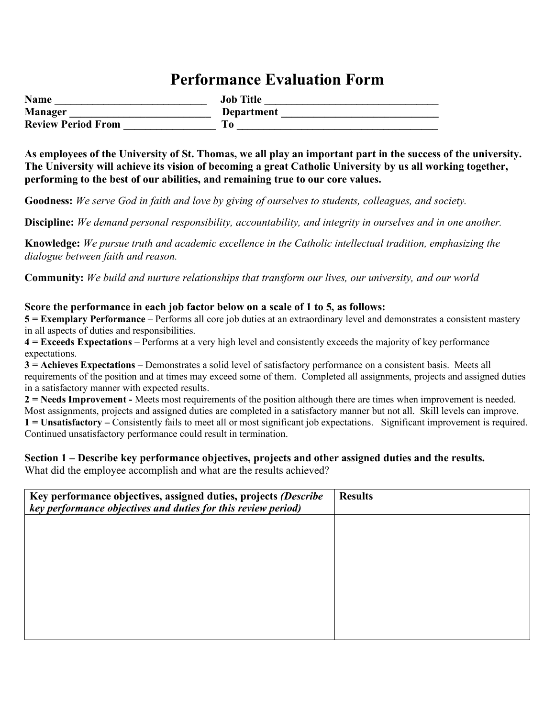# **Performance Evaluation Form**

| <b>Name</b>               | <b>Job Title</b> |
|---------------------------|------------------|
| <b>Manager</b>            | Department       |
| <b>Review Period From</b> |                  |

**As employees of the University of St. Thomas, we all play an important part in the success of the university. The University will achieve its vision of becoming a great Catholic University by us all working together, performing to the best of our abilities, and remaining true to our core values.**

**Goodness:** *We serve God in faith and love by giving of ourselves to students, colleagues, and society.* 

**Discipline:** *We demand personal responsibility, accountability, and integrity in ourselves and in one another.* 

**Knowledge:** *We pursue truth and academic excellence in the Catholic intellectual tradition, emphasizing the dialogue between faith and reason.* 

**Community:** *We build and nurture relationships that transform our lives, our university, and our world*

#### **Score the performance in each job factor below on a scale of 1 to 5, as follows:**

**5 = Exemplary Performance –** Performs all core job duties at an extraordinary level and demonstrates a consistent mastery in all aspects of duties and responsibilities.

**4 = Exceeds Expectations –** Performs at a very high level and consistently exceeds the majority of key performance expectations.

**3 = Achieves Expectations –** Demonstrates a solid level of satisfactory performance on a consistent basis. Meets all requirements of the position and at times may exceed some of them. Completed all assignments, projects and assigned duties in a satisfactory manner with expected results.

**2 = Needs Improvement -** Meets most requirements of the position although there are times when improvement is needed. Most assignments, projects and assigned duties are completed in a satisfactory manner but not all. Skill levels can improve.

**1 = Unsatisfactory –** Consistently fails to meet all or most significant job expectations. Significant improvement is required. Continued unsatisfactory performance could result in termination.

#### **Section 1 – Describe key performance objectives, projects and other assigned duties and the results.**

What did the employee accomplish and what are the results achieved?

| Key performance objectives, assigned duties, projects (Describe<br>key performance objectives and duties for this review period) | <b>Results</b> |
|----------------------------------------------------------------------------------------------------------------------------------|----------------|
|                                                                                                                                  |                |
|                                                                                                                                  |                |
|                                                                                                                                  |                |
|                                                                                                                                  |                |
|                                                                                                                                  |                |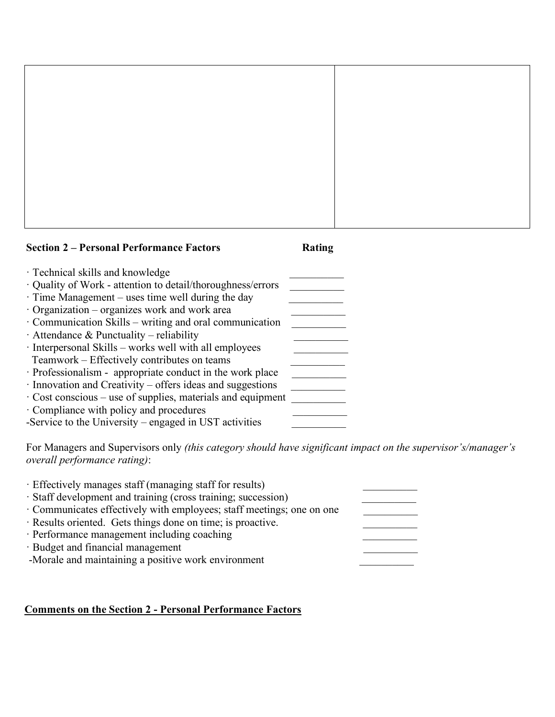

# · Technical skills and knowledge \_\_\_\_\_\_\_\_\_\_ · Quality of Work - attention to detail/thoroughness/errors \_\_\_\_\_\_\_\_\_\_  $\cdot$  Time Management – uses time well during the day

· Organization – organizes work and work area \_\_\_\_\_\_\_\_\_\_ · Communication Skills – writing and oral communication \_\_\_\_\_\_\_\_\_\_ · Attendance & Punctuality – reliability · Interpersonal Skills – works well with all employees \_\_\_\_\_\_\_\_\_\_ Teamwork – Effectively contributes on teams \_\_\_\_\_\_\_\_\_\_ · Professionalism - appropriate conduct in the work place \_\_\_\_\_\_\_\_\_\_ · Innovation and Creativity – offers ideas and suggestions \_\_\_\_\_\_\_\_\_\_  $\cdot$  Cost conscious – use of supplies, materials and equipment · Compliance with policy and procedures \_\_\_\_\_\_\_\_\_\_

-Service to the University – engaged in UST activities

For Managers and Supervisors only *(this category should have significant impact on the supervisor's/manager's overall performance rating)*:

| · Effectively manages staff (managing staff for results)            |  |
|---------------------------------------------------------------------|--|
| · Staff development and training (cross training; succession)       |  |
| Communicates effectively with employees; staff meetings; one on one |  |
| · Results oriented. Gets things done on time; is proactive.         |  |
| · Performance management including coaching                         |  |
| · Budget and financial management                                   |  |
| -Morale and maintaining a positive work environment                 |  |
|                                                                     |  |

### **Comments on the Section 2 - Personal Performance Factors**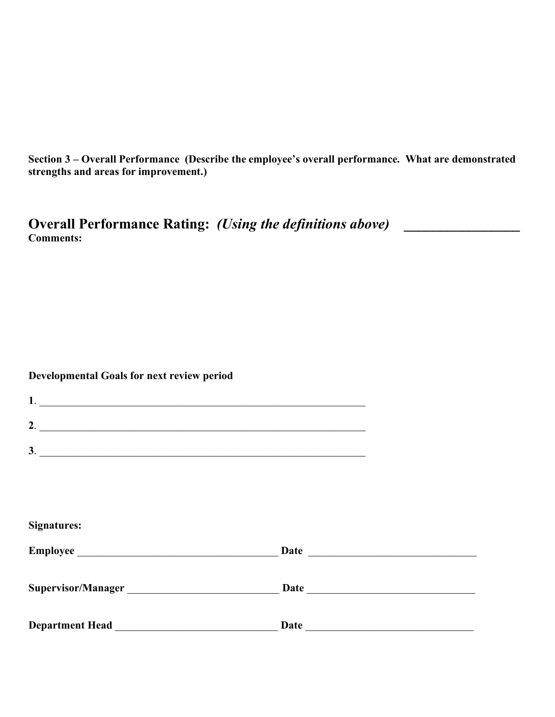**Section 3 – Overall Performance (Describe the employee's overall performance. What are demonstrated strengths and areas for improvement.)**

**Overall Performance Rating:** *(Using the definitions above)* **\_\_\_\_\_\_\_\_\_\_\_\_\_\_\_\_ Comments:**

## **Developmental Goals for next review period**

| $1.$ $\overline{\phantom{a}}$ |                                                                                                                                                                                                                                |
|-------------------------------|--------------------------------------------------------------------------------------------------------------------------------------------------------------------------------------------------------------------------------|
| 2. $\overline{\phantom{a}}$   |                                                                                                                                                                                                                                |
| $\frac{3}{2}$                 |                                                                                                                                                                                                                                |
|                               |                                                                                                                                                                                                                                |
|                               |                                                                                                                                                                                                                                |
| <b>Signatures:</b>            |                                                                                                                                                                                                                                |
|                               |                                                                                                                                                                                                                                |
| Supervisor/Manager            | Date and the second state of the second state and state and state of the second state and state and state and state and state and state and state and state and state and state and state and state and state and state and st |
|                               |                                                                                                                                                                                                                                |